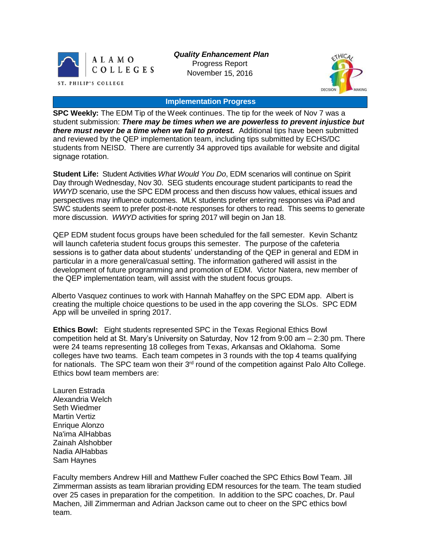

*Quality Enhancement Plan* Progress Report November 15, 2016



### **Implementation Progress**

**SPC Weekly:** The EDM Tip of the Week continues. The tip for the week of Nov 7 was a student submission: *There may be times when we are powerless to prevent injustice but there must never be a time when we fail to protest.* Additional tips have been submitted and reviewed by the QEP implementation team, including tips submitted by ECHS/DC students from NEISD. There are currently 34 approved tips available for website and digital signage rotation.

**Student Life:** Student Activities *What Would You Do*, EDM scenarios will continue on Spirit Day through Wednesday, Nov 30. SEG students encourage student participants to read the *WWYD* scenario, use the SPC EDM process and then discuss how values, ethical issues and perspectives may influence outcomes. MLK students prefer entering responses via iPad and SWC students seem to prefer post-it-note responses for others to read. This seems to generate more discussion. *WWYD* activities for spring 2017 will begin on Jan 18.

QEP EDM student focus groups have been scheduled for the fall semester. Kevin Schantz will launch cafeteria student focus groups this semester. The purpose of the cafeteria sessions is to gather data about students' understanding of the QEP in general and EDM in particular in a more general/casual setting. The information gathered will assist in the development of future programming and promotion of EDM. Victor Natera, new member of the QEP implementation team, will assist with the student focus groups.

Alberto Vasquez continues to work with Hannah Mahaffey on the SPC EDM app. Albert is creating the multiple choice questions to be used in the app covering the SLOs. SPC EDM App will be unveiled in spring 2017.

**Ethics Bowl:** Eight students represented SPC in the Texas Regional Ethics Bowl competition held at St. Mary's University on Saturday, Nov 12 from 9:00 am – 2:30 pm. There were 24 teams representing 18 colleges from Texas, Arkansas and Oklahoma. Some colleges have two teams. Each team competes in 3 rounds with the top 4 teams qualifying for nationals. The SPC team won their  $3<sup>rd</sup>$  round of the competition against Palo Alto College. Ethics bowl team members are:

Lauren Estrada Alexandria Welch Seth Wiedmer Martin Vertiz Enrique Alonzo Na'ima AlHabbas Zainah Alshobber Nadia AlHabbas Sam Haynes

Faculty members Andrew Hill and Matthew Fuller coached the SPC Ethics Bowl Team. Jill Zimmerman assists as team librarian providing EDM resources for the team. The team studied over 25 cases in preparation for the competition. In addition to the SPC coaches, Dr. Paul Machen, Jill Zimmerman and Adrian Jackson came out to cheer on the SPC ethics bowl team.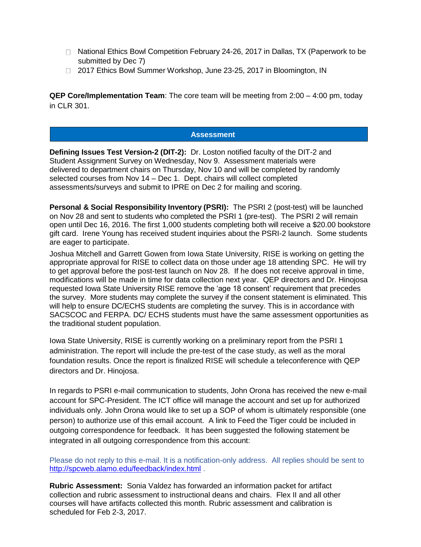- $\Box$  National Ethics Bowl Competition February 24-26, 2017 in Dallas, TX (Paperwork to be submitted by Dec 7)
- □ 2017 Ethics Bowl Summer Workshop, June 23-25, 2017 in Bloomington, IN

**QEP Core/Implementation Team**: The core team will be meeting from 2:00 – 4:00 pm, today in CLR 301.

## **Assessment**

**Defining Issues Test Version-2 (DIT-2):** Dr. Loston notified faculty of the DIT-2 and Student Assignment Survey on Wednesday, Nov 9. Assessment materials were delivered to department chairs on Thursday, Nov 10 and will be completed by randomly selected courses from Nov 14 – Dec 1. Dept. chairs will collect completed assessments/surveys and submit to IPRE on Dec 2 for mailing and scoring.

**Personal & Social Responsibility Inventory (PSRI):** The PSRI 2 (post-test) will be launched on Nov 28 and sent to students who completed the PSRI 1 (pre-test). The PSRI 2 will remain open until Dec 16, 2016. The first 1,000 students completing both will receive a \$20.00 bookstore gift card. Irene Young has received student inquiries about the PSRI-2 launch. Some students are eager to participate.

Joshua Mitchell and Garrett Gowen from Iowa State University, RISE is working on getting the appropriate approval for RISE to collect data on those under age 18 attending SPC. He will try to get approval before the post-test launch on Nov 28. If he does not receive approval in time, modifications will be made in time for data collection next year. QEP directors and Dr. Hinojosa requested Iowa State University RISE remove the 'age 18 consent' requirement that precedes the survey. More students may complete the survey if the consent statement is eliminated. This will help to ensure DC/ECHS students are completing the survey. This is in accordance with SACSCOC and FERPA. DC/ ECHS students must have the same assessment opportunities as the traditional student population.

Iowa State University, RISE is currently working on a preliminary report from the PSRI 1 administration. The report will include the pre-test of the case study, as well as the moral foundation results. Once the report is finalized RISE will schedule a teleconference with QEP directors and Dr. Hinojosa.

In regards to PSRI e-mail communication to students, John Orona has received the new e-mail account for SPC-President. The ICT office will manage the account and set up for authorized individuals only. John Orona would like to set up a SOP of whom is ultimately responsible (one person) to authorize use of this email account. A link to Feed the Tiger could be included in outgoing correspondence for feedback. It has been suggested the following statement be integrated in all outgoing correspondence from this account:

Please do not reply to this e-mail. It is a notification-only address. All replies should be sent to [http://spcweb.alamo.edu/feedback/index.html](https://mail.alamo.edu/owa/redir.aspx?C=mawO8X7fmD1aNFeUldgaleTfj86GBQJz2F8Z990APU7i6ZYu1u7TCA..&URL=http%3a%2f%2fspcweb.alamo.edu%2ffeedback%2findex.html) .

**Rubric Assessment:** Sonia Valdez has forwarded an information packet for artifact collection and rubric assessment to instructional deans and chairs. Flex II and all other courses will have artifacts collected this month. Rubric assessment and calibration is scheduled for Feb 2-3, 2017.